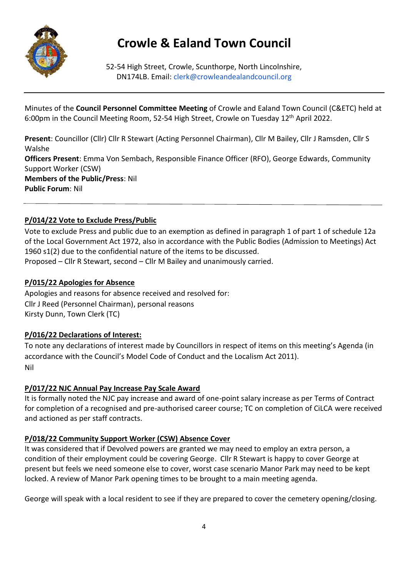

# **Crowle & Ealand Town Council**

52-54 High Street, Crowle, Scunthorpe, North Lincolnshire, DN174LB. Email: clerk@crowleandealandcouncil.org

Minutes of the **Council Personnel Committee Meeting** of Crowle and Ealand Town Council (C&ETC) held at 6:00pm in the Council Meeting Room, 52-54 High Street, Crowle on Tuesday 12<sup>th</sup> April 2022.

**Present**: Councillor (Cllr) Cllr R Stewart (Acting Personnel Chairman), Cllr M Bailey, Cllr J Ramsden, Cllr S Walshe **Officers Present**: Emma Von Sembach, Responsible Finance Officer (RFO), George Edwards, Community Support Worker (CSW) **Members of the Public/Press**: Nil **Public Forum**: Nil

# **P/014/22 Vote to Exclude Press/Public**

Vote to exclude Press and public due to an exemption as defined in paragraph 1 of part 1 of schedule 12a of the Local Government Act 1972, also in accordance with the Public Bodies (Admission to Meetings) Act 1960 s1(2) due to the confidential nature of the items to be discussed. Proposed – Cllr R Stewart, second – Cllr M Bailey and unanimously carried.

#### **P/015/22 Apologies for Absence**

Apologies and reasons for absence received and resolved for: Cllr J Reed (Personnel Chairman), personal reasons Kirsty Dunn, Town Clerk (TC)

#### **P/016/22 Declarations of Interest:**

To note any declarations of interest made by Councillors in respect of items on this meeting's Agenda (in accordance with the Council's Model Code of Conduct and the Localism Act 2011). Nil

#### **P/017/22 NJC Annual Pay Increase Pay Scale Award**

It is formally noted the NJC pay increase and award of one-point salary increase as per Terms of Contract for completion of a recognised and pre-authorised career course; TC on completion of CiLCA were received and actioned as per staff contracts.

#### **P/018/22 Community Support Worker (CSW) Absence Cover**

It was considered that if Devolved powers are granted we may need to employ an extra person, a condition of their employment could be covering George. Cllr R Stewart is happy to cover George at present but feels we need someone else to cover, worst case scenario Manor Park may need to be kept locked. A review of Manor Park opening times to be brought to a main meeting agenda.

George will speak with a local resident to see if they are prepared to cover the cemetery opening/closing.